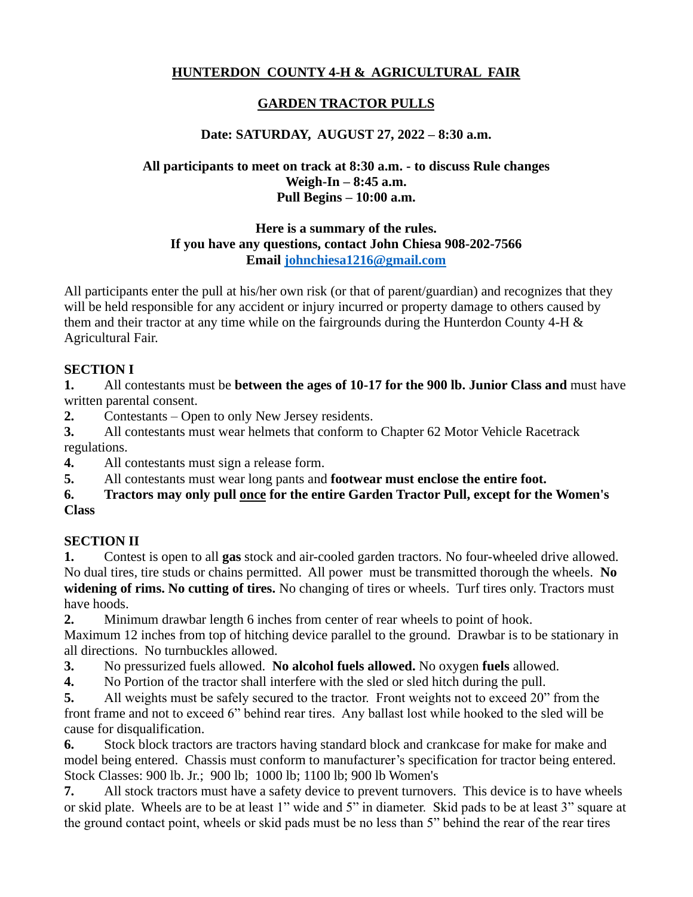## **HUNTERDON COUNTY 4-H & AGRICULTURAL FAIR**

## **GARDEN TRACTOR PULLS**

## **Date: SATURDAY, AUGUST 27, 2022 – 8:30 a.m.**

### **All participants to meet on track at 8:30 a.m. - to discuss Rule changes Weigh-In – 8:45 a.m. Pull Begins – 10:00 a.m.**

### **Here is a summary of the rules. If you have any questions, contact John Chiesa 908-202-7566 Email [johnchiesa1216@gmail.com](mailto:johnchiesa1216@gmail.com)**

All participants enter the pull at his/her own risk (or that of parent/guardian) and recognizes that they will be held responsible for any accident or injury incurred or property damage to others caused by them and their tractor at any time while on the fairgrounds during the Hunterdon County 4-H & Agricultural Fair.

### **SECTION I**

**1.** All contestants must be **between the ages of 10-17 for the 900 lb. Junior Class and** must have written parental consent.

**2.** Contestants – Open to only New Jersey residents.

**3.** All contestants must wear helmets that conform to Chapter 62 Motor Vehicle Racetrack regulations.

**4.** All contestants must sign a release form.

**5.** All contestants must wear long pants and **footwear must enclose the entire foot.**

### **6. Tractors may only pull once for the entire Garden Tractor Pull, except for the Women's Class**

## **SECTION II**

**1.** Contest is open to all **gas** stock and air-cooled garden tractors. No four-wheeled drive allowed. No dual tires, tire studs or chains permitted. All power must be transmitted thorough the wheels. **No widening of rims. No cutting of tires.** No changing of tires or wheels. Turf tires only. Tractors must have hoods.

**2.** Minimum drawbar length 6 inches from center of rear wheels to point of hook.

Maximum 12 inches from top of hitching device parallel to the ground. Drawbar is to be stationary in all directions. No turnbuckles allowed.

**3.** No pressurized fuels allowed. **No alcohol fuels allowed.** No oxygen **fuels** allowed.

**4.** No Portion of the tractor shall interfere with the sled or sled hitch during the pull.

**5.** All weights must be safely secured to the tractor. Front weights not to exceed 20" from the front frame and not to exceed 6" behind rear tires. Any ballast lost while hooked to the sled will be cause for disqualification.

**6.** Stock block tractors are tractors having standard block and crankcase for make for make and model being entered. Chassis must conform to manufacturer's specification for tractor being entered. Stock Classes: 900 lb. Jr.; 900 lb; 1000 lb; 1100 lb; 900 lb Women's

**7.** All stock tractors must have a safety device to prevent turnovers. This device is to have wheels or skid plate. Wheels are to be at least 1" wide and 5" in diameter. Skid pads to be at least 3" square at the ground contact point, wheels or skid pads must be no less than 5" behind the rear of the rear tires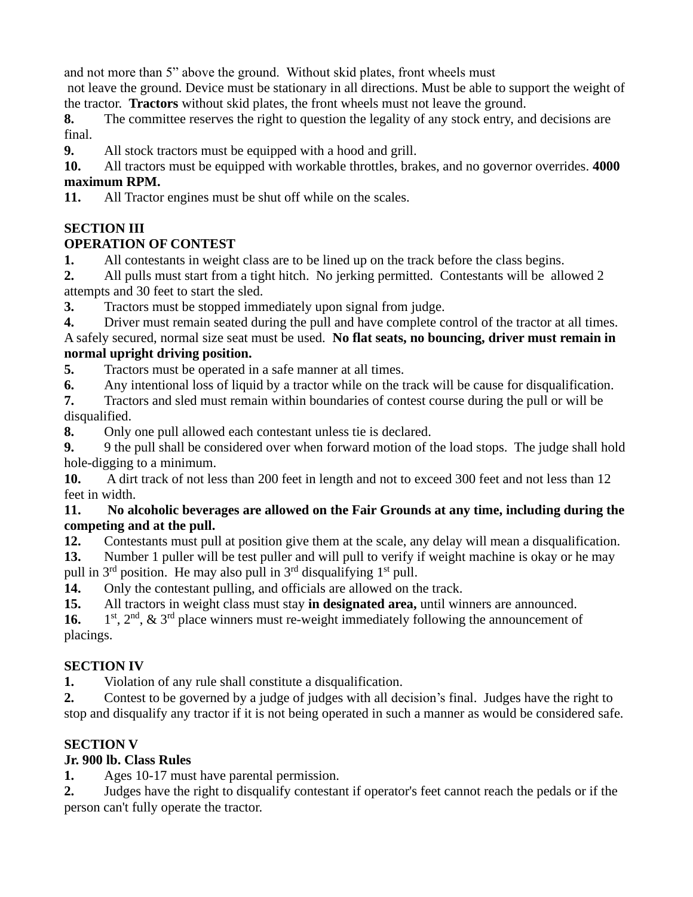and not more than 5" above the ground. Without skid plates, front wheels must

not leave the ground. Device must be stationary in all directions. Must be able to support the weight of the tractor. **Tractors** without skid plates, the front wheels must not leave the ground.

**8.** The committee reserves the right to question the legality of any stock entry, and decisions are final.

**9.** All stock tractors must be equipped with a hood and grill.

**10.** All tractors must be equipped with workable throttles, brakes, and no governor overrides. **4000 maximum RPM.**

**11.** All Tractor engines must be shut off while on the scales.

## **SECTION III**

## **OPERATION OF CONTEST**

**1.** All contestants in weight class are to be lined up on the track before the class begins.

**2.** All pulls must start from a tight hitch. No jerking permitted. Contestants will be allowed 2 attempts and 30 feet to start the sled.

**3.** Tractors must be stopped immediately upon signal from judge.

**4.** Driver must remain seated during the pull and have complete control of the tractor at all times. A safely secured, normal size seat must be used. **No flat seats, no bouncing, driver must remain in normal upright driving position.**

**5.** Tractors must be operated in a safe manner at all times.

**6.** Any intentional loss of liquid by a tractor while on the track will be cause for disqualification.

**7.** Tractors and sled must remain within boundaries of contest course during the pull or will be disqualified.

**8.** Only one pull allowed each contestant unless tie is declared.

**9.** 9 the pull shall be considered over when forward motion of the load stops. The judge shall hold hole-digging to a minimum.

**10.** A dirt track of not less than 200 feet in length and not to exceed 300 feet and not less than 12 feet in width.

### **11. No alcoholic beverages are allowed on the Fair Grounds at any time, including during the competing and at the pull.**

**12.** Contestants must pull at position give them at the scale, any delay will mean a disqualification.

**13.** Number 1 puller will be test puller and will pull to verify if weight machine is okay or he may pull in  $3<sup>rd</sup>$  position. He may also pull in  $3<sup>rd</sup>$  disqualifying  $1<sup>st</sup>$  pull.

**14.** Only the contestant pulling, and officials are allowed on the track.

**15.** All tractors in weight class must stay **in designated area,** until winners are announced.

**16.** 1  $1<sup>st</sup>$ ,  $2<sup>nd</sup>$ ,  $\&$   $3<sup>rd</sup>$  place winners must re-weight immediately following the announcement of placings.

# **SECTION IV**

**1.** Violation of any rule shall constitute a disqualification.

**2.** Contest to be governed by a judge of judges with all decision's final. Judges have the right to stop and disqualify any tractor if it is not being operated in such a manner as would be considered safe.

# **SECTION V**

# **Jr. 900 lb. Class Rules**

**1.** Ages 10-17 must have parental permission.

**2.** Judges have the right to disqualify contestant if operator's feet cannot reach the pedals or if the person can't fully operate the tractor.